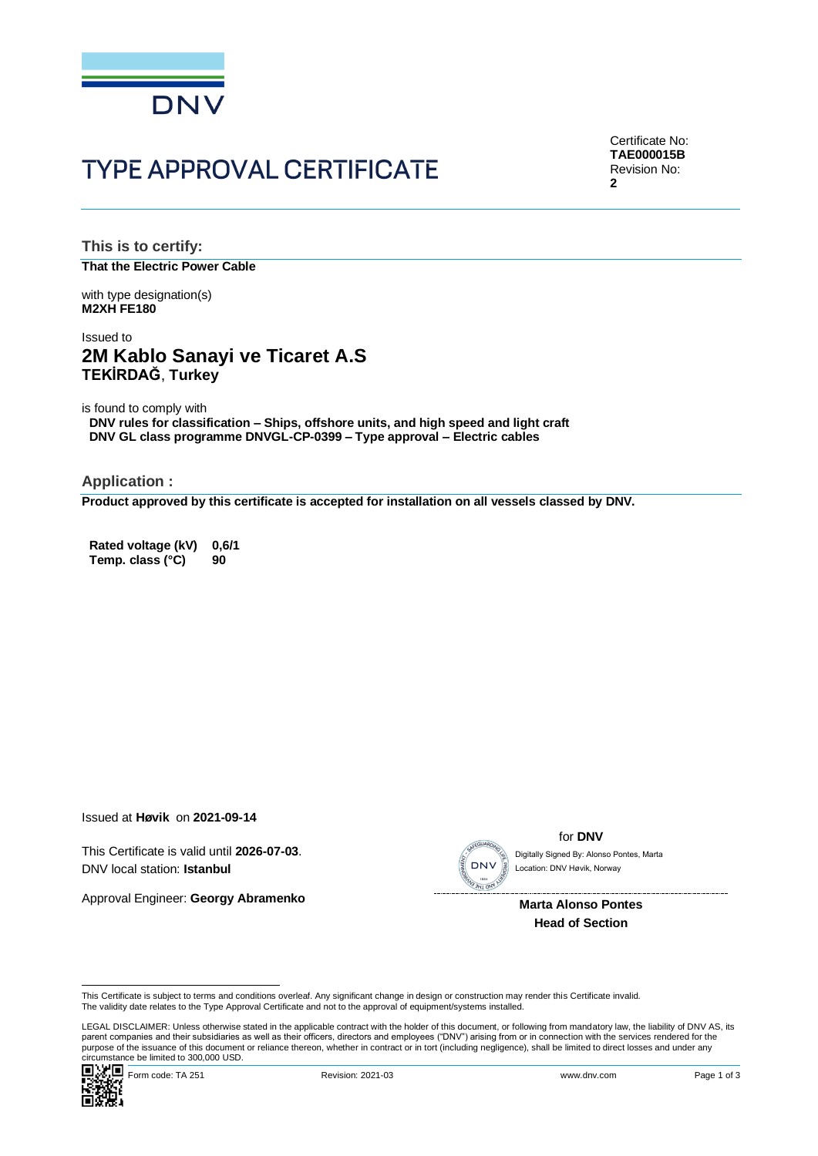

# **TYPE APPROVAL CERTIFICATE**

Certificate No: **TAE000015B** Revision No: **2**

**This is to certify: That the Electric Power Cable**

with type designation(s) **M2XH FE180**

### Issued to **2M Kablo Sanayi ve Ticaret A.S TEKİRDAĞ**, **Turkey**

is found to comply with

**DNV rules for classification – Ships, offshore units, and high speed and light craft DNV GL class programme DNVGL-CP-0399 – Type approval – Electric cables**

**Application :**

**Product approved by this certificate is accepted for installation on all vessels classed by DNV.**

**Rated voltage (kV) 0,6/1 Temp. class (°C) 90**

Issued at **Høvik** on **2021-09-14**

This Certificate is valid until **2026-07-03**. DNV local station: **Istanbul**

Approval Engineer: **Georgy Abramenko**



for **DNV**

Location: DNV Høvik, Norway

 **Marta Alonso Pontes Head of Section**

This Certificate is subject to terms and conditions overleaf. Any significant change in design or construction may render this Certificate invalid.<br>The validity date relates to the Type Approval Certificate and not to the

Circumstance be immedial bookbook book.<br>■ Will Form code: TA 251 Revision: 2021-03 www.dnv.com Page 1 of 3 LEGAL DISCLAIMER: Unless otherwise stated in the applicable contract with the holder of this document, or following from mandatory law, the liability of DNV AS, its parent companies and their subsidiaries as well as their officers, directors and employees ("DNV") arising from or in connection with the services rendered for the This Certificate is subject to terms and conditions overleaf. Any significant change in design or construction may render this Certificate invalid.<br>
This Certificate is subject to terms and conditions overleaf. Any signifi

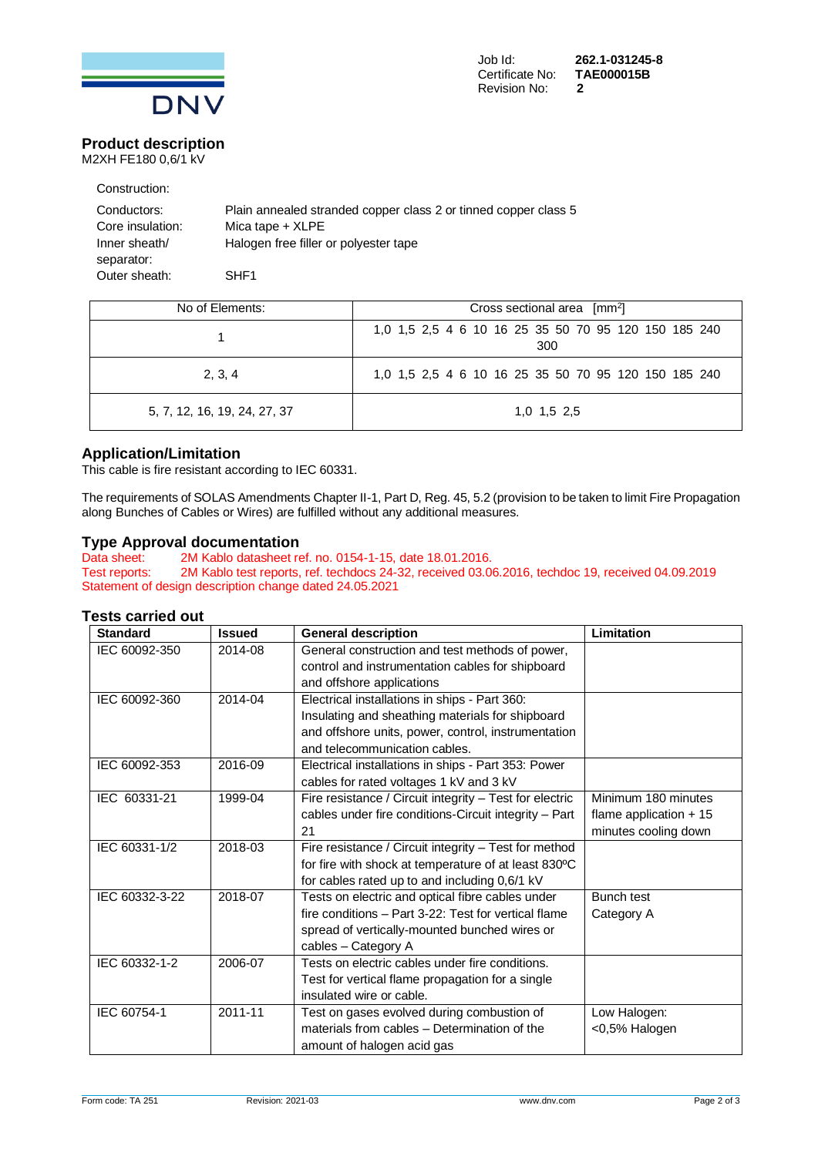

#### **Product description** M2XH FE180 0,6/1 kV

| Construction: |  |
|---------------|--|

| ovnou uvuvni.    |                                                                 |
|------------------|-----------------------------------------------------------------|
| Conductors:      | Plain annealed stranded copper class 2 or tinned copper class 5 |
| Core insulation: | Mica tape $+$ XLPE                                              |
| Inner sheath/    | Halogen free filler or polyester tape                           |
| separator:       |                                                                 |
| Outer sheath:    | SHF <sub>1</sub>                                                |

| No of Elements:              | Cross sectional area $\left[mm^2\right]$                    |  |  |
|------------------------------|-------------------------------------------------------------|--|--|
|                              | 1,0 1,5 2,5 4 6 10 16 25 35 50 70 95 120 150 185 240<br>300 |  |  |
| 2, 3, 4                      | 1,0 1,5 2,5 4 6 10 16 25 35 50 70 95 120 150 185 240        |  |  |
| 5, 7, 12, 16, 19, 24, 27, 37 | 1,0 1,5 2,5                                                 |  |  |

## **Application/Limitation**

This cable is fire resistant according to IEC 60331.

The requirements of SOLAS Amendments Chapter II-1, Part D, Reg. 45, 5.2 (provision to be taken to limit Fire Propagation along Bunches of Cables or Wires) are fulfilled without any additional measures.

## **Type Approval documentation**<br>Data sheet: 2M Kablo datasheet re

Data sheet: 2M Kablo datasheet ref. no. 0154-1-15, date 18.01.2016.<br>Test reports: 2M Kablo test reports, ref. techdocs 24-32, received 03.0 2M Kablo test reports, ref. techdocs 24-32, received 03.06.2016, techdoc 19, received 04.09.2019 Statement of design description change dated 24.05.2021

### **Tests carried out**

| <b>Standard</b> | <b>Issued</b> | <b>General description</b>                              | Limitation              |
|-----------------|---------------|---------------------------------------------------------|-------------------------|
| IEC 60092-350   | 2014-08       | General construction and test methods of power,         |                         |
|                 |               | control and instrumentation cables for shipboard        |                         |
|                 |               | and offshore applications                               |                         |
| IEC 60092-360   | 2014-04       | Electrical installations in ships - Part 360:           |                         |
|                 |               | Insulating and sheathing materials for shipboard        |                         |
|                 |               | and offshore units, power, control, instrumentation     |                         |
|                 |               | and telecommunication cables.                           |                         |
| IEC 60092-353   | 2016-09       | Electrical installations in ships - Part 353: Power     |                         |
|                 |               | cables for rated voltages 1 kV and 3 kV                 |                         |
| IEC 60331-21    | 1999-04       | Fire resistance / Circuit integrity - Test for electric | Minimum 180 minutes     |
|                 |               | cables under fire conditions-Circuit integrity - Part   | flame application $+15$ |
|                 |               | 21                                                      | minutes cooling down    |
| IEC 60331-1/2   | 2018-03       | Fire resistance / Circuit integrity - Test for method   |                         |
|                 |               | for fire with shock at temperature of at least 830°C    |                         |
|                 |               | for cables rated up to and including 0,6/1 kV           |                         |
| IEC 60332-3-22  | 2018-07       | Tests on electric and optical fibre cables under        | <b>Bunch test</b>       |
|                 |               | fire conditions - Part 3-22: Test for vertical flame    | Category A              |
|                 |               | spread of vertically-mounted bunched wires or           |                         |
|                 |               | cables - Category A                                     |                         |
| IEC 60332-1-2   | 2006-07       | Tests on electric cables under fire conditions.         |                         |
|                 |               | Test for vertical flame propagation for a single        |                         |
|                 |               | insulated wire or cable.                                |                         |
| IEC 60754-1     | 2011-11       | Test on gases evolved during combustion of              | Low Halogen:            |
|                 |               | materials from cables - Determination of the            | <0,5% Halogen           |
|                 |               | amount of halogen acid gas                              |                         |